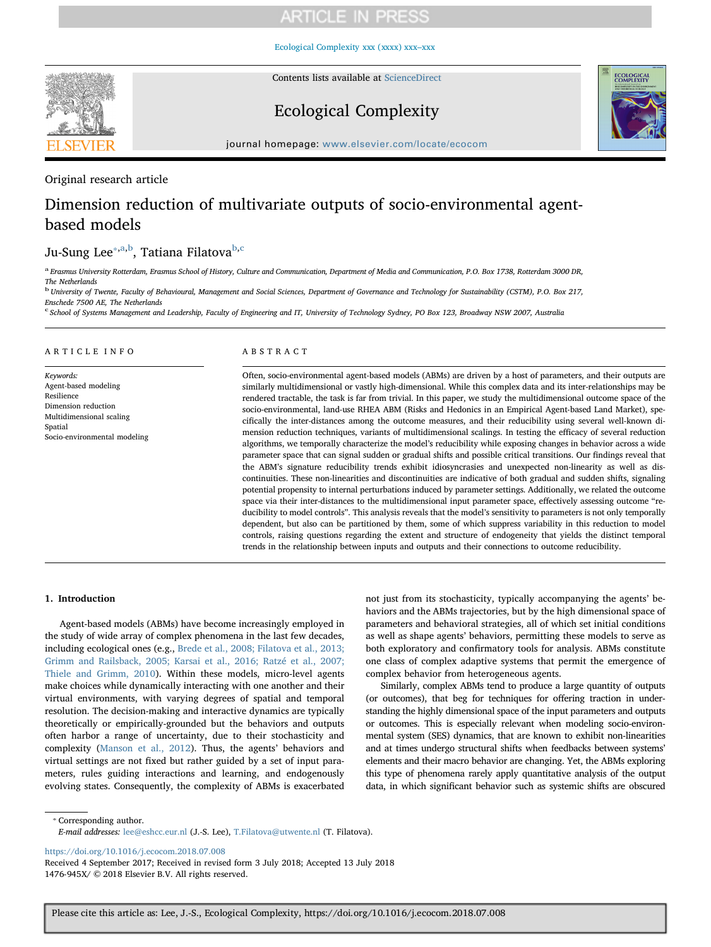# **ARTICLE IN PRESS**

# [Ecological Complexity xxx \(xxxx\) xxx–xxx](https://doi.org/10.1016/j.ecocom.2018.07.008)



Contents lists available at [ScienceDirect](http://www.sciencedirect.com/science/journal/1476945X)

# Ecological Complexity



journal homepage: [www.elsevier.com/locate/ecocom](https://www.elsevier.com/locate/ecocom)

Original research article

# Dimension reduction of multivariate outputs of socio-environmental agentbased models

# Ju-Sung Lee $^{\ast,\mathrm{a,b}}$  $^{\ast,\mathrm{a,b}}$  $^{\ast,\mathrm{a,b}}$  $^{\ast,\mathrm{a,b}}$ , Tatiana Filatova $^{\mathrm{b,c}}$  $^{\mathrm{b,c}}$  $^{\mathrm{b,c}}$  $^{\mathrm{b,c}}$

<span id="page-0-1"></span>a Erasmus University Rotterdam, Erasmus School of History, Culture and Communication, Department of Media and Communication, P.O. Box 1738, Rotterdam 3000 DR, The Netherlands

<span id="page-0-2"></span><sup>b</sup> University of Twente, Faculty of Behavioural, Management and Social Sciences, Department of Governance and Technology for Sustainability (CSTM), P.O. Box 217, Enschede 7500 AE, The Netherlands

<span id="page-0-3"></span><sup>c</sup> School of Systems Management and Leadership, Faculty of Engineering and IT, University of Technology Sydney, PO Box 123, Broadway NSW 2007, Australia

## ARTICLE INFO

Keywords: Agent-based modeling Resilience Dimension reduction Multidimensional scaling Spatial Socio-environmental modeling

# ABSTRACT

Often, socio-environmental agent-based models (ABMs) are driven by a host of parameters, and their outputs are similarly multidimensional or vastly high-dimensional. While this complex data and its inter-relationships may be rendered tractable, the task is far from trivial. In this paper, we study the multidimensional outcome space of the socio-environmental, land-use RHEA ABM (Risks and Hedonics in an Empirical Agent-based Land Market), specifically the inter-distances among the outcome measures, and their reducibility using several well-known dimension reduction techniques, variants of multidimensional scalings. In testing the efficacy of several reduction algorithms, we temporally characterize the model's reducibility while exposing changes in behavior across a wide parameter space that can signal sudden or gradual shifts and possible critical transitions. Our findings reveal that the ABM's signature reducibility trends exhibit idiosyncrasies and unexpected non-linearity as well as discontinuities. These non-linearities and discontinuities are indicative of both gradual and sudden shifts, signaling potential propensity to internal perturbations induced by parameter settings. Additionally, we related the outcome space via their inter-distances to the multidimensional input parameter space, effectively assessing outcome "reducibility to model controls". This analysis reveals that the model's sensitivity to parameters is not only temporally dependent, but also can be partitioned by them, some of which suppress variability in this reduction to model controls, raising questions regarding the extent and structure of endogeneity that yields the distinct temporal trends in the relationship between inputs and outputs and their connections to outcome reducibility.

### 1. Introduction

Agent-based models (ABMs) have become increasingly employed in the study of wide array of complex phenomena in the last few decades, including ecological ones (e.g., [Brede et al., 2008; Filatova et al., 2013;](#page-12-0) [Grimm and Railsback, 2005; Karsai et al., 2016; Ratzé et al., 2007;](#page-12-0) [Thiele and Grimm, 2010](#page-12-0)). Within these models, micro-level agents make choices while dynamically interacting with one another and their virtual environments, with varying degrees of spatial and temporal resolution. The decision-making and interactive dynamics are typically theoretically or empirically-grounded but the behaviors and outputs often harbor a range of uncertainty, due to their stochasticity and complexity ([Manson et al., 2012\)](#page-12-1). Thus, the agents' behaviors and virtual settings are not fixed but rather guided by a set of input parameters, rules guiding interactions and learning, and endogenously evolving states. Consequently, the complexity of ABMs is exacerbated

not just from its stochasticity, typically accompanying the agents' behaviors and the ABMs trajectories, but by the high dimensional space of parameters and behavioral strategies, all of which set initial conditions as well as shape agents' behaviors, permitting these models to serve as both exploratory and confirmatory tools for analysis. ABMs constitute one class of complex adaptive systems that permit the emergence of complex behavior from heterogeneous agents.

Similarly, complex ABMs tend to produce a large quantity of outputs (or outcomes), that beg for techniques for offering traction in understanding the highly dimensional space of the input parameters and outputs or outcomes. This is especially relevant when modeling socio-environmental system (SES) dynamics, that are known to exhibit non-linearities and at times undergo structural shifts when feedbacks between systems' elements and their macro behavior are changing. Yet, the ABMs exploring this type of phenomena rarely apply quantitative analysis of the output data, in which significant behavior such as systemic shifts are obscured

<span id="page-0-0"></span>⁎ Corresponding author.

E-mail addresses: [lee@eshcc.eur.nl](mailto:lee@eshcc.eur.nl) (J.-S. Lee), [T.Filatova@utwente.nl](mailto:T.Filatova@utwente.nl) (T. Filatova).

<https://doi.org/10.1016/j.ecocom.2018.07.008>

Received 4 September 2017; Received in revised form 3 July 2018; Accepted 13 July 2018 1476-945X/ © 2018 Elsevier B.V. All rights reserved.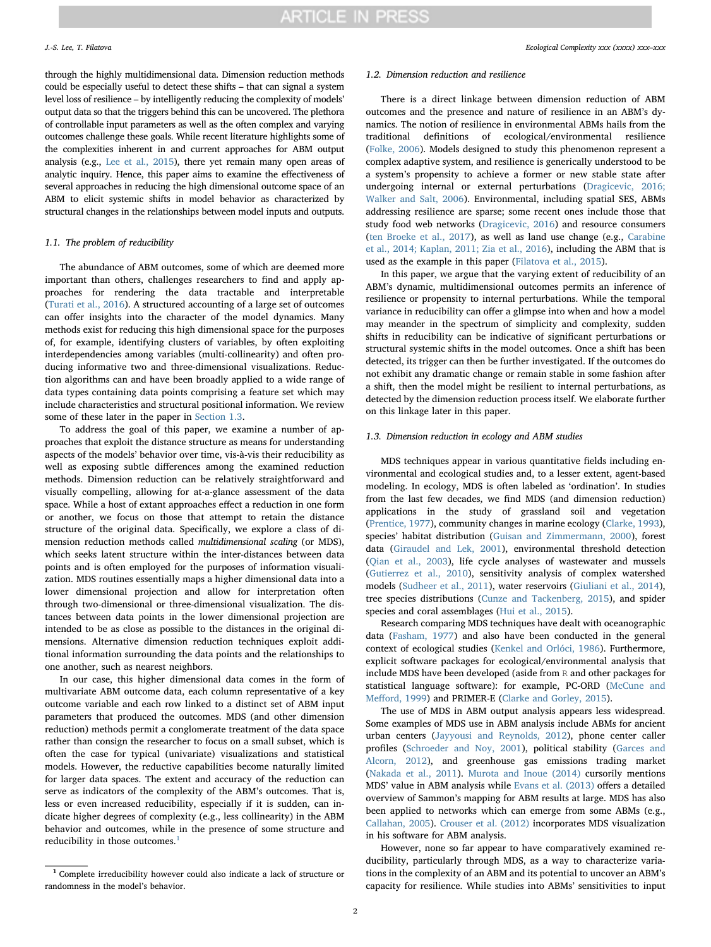J.-S. Lee, T. Filatova *Ecological Complexity xxx (xxxx) xxx–xxx*

through the highly multidimensional data. Dimension reduction methods could be especially useful to detect these shifts – that can signal a system level loss of resilience – by intelligently reducing the complexity of models' output data so that the triggers behind this can be uncovered. The plethora of controllable input parameters as well as the often complex and varying outcomes challenge these goals. While recent literature highlights some of the complexities inherent in and current approaches for ABM output analysis (e.g., [Lee et al., 2015\)](#page-12-2), there yet remain many open areas of analytic inquiry. Hence, this paper aims to examine the effectiveness of several approaches in reducing the high dimensional outcome space of an ABM to elicit systemic shifts in model behavior as characterized by structural changes in the relationships between model inputs and outputs.

## 1.1. The problem of reducibility

The abundance of ABM outcomes, some of which are deemed more important than others, challenges researchers to find and apply approaches for rendering the data tractable and interpretable ([Turati et al., 2016](#page-12-3)). A structured accounting of a large set of outcomes can offer insights into the character of the model dynamics. Many methods exist for reducing this high dimensional space for the purposes of, for example, identifying clusters of variables, by often exploiting interdependencies among variables (multi-collinearity) and often producing informative two and three-dimensional visualizations. Reduction algorithms can and have been broadly applied to a wide range of data types containing data points comprising a feature set which may include characteristics and structural positional information. We review some of these later in the paper in [Section 1.3](#page-1-0).

To address the goal of this paper, we examine a number of approaches that exploit the distance structure as means for understanding aspects of the models' behavior over time, vis-à-vis their reducibility as well as exposing subtle differences among the examined reduction methods. Dimension reduction can be relatively straightforward and visually compelling, allowing for at-a-glance assessment of the data space. While a host of extant approaches effect a reduction in one form or another, we focus on those that attempt to retain the distance structure of the original data. Specifically, we explore a class of dimension reduction methods called multidimensional scaling (or MDS), which seeks latent structure within the inter-distances between data points and is often employed for the purposes of information visualization. MDS routines essentially maps a higher dimensional data into a lower dimensional projection and allow for interpretation often through two-dimensional or three-dimensional visualization. The distances between data points in the lower dimensional projection are intended to be as close as possible to the distances in the original dimensions. Alternative dimension reduction techniques exploit additional information surrounding the data points and the relationships to one another, such as nearest neighbors.

In our case, this higher dimensional data comes in the form of multivariate ABM outcome data, each column representative of a key outcome variable and each row linked to a distinct set of ABM input parameters that produced the outcomes. MDS (and other dimension reduction) methods permit a conglomerate treatment of the data space rather than consign the researcher to focus on a small subset, which is often the case for typical (univariate) visualizations and statistical models. However, the reductive capabilities become naturally limited for larger data spaces. The extent and accuracy of the reduction can serve as indicators of the complexity of the ABM's outcomes. That is, less or even increased reducibility, especially if it is sudden, can indicate higher degrees of complexity (e.g., less collinearity) in the ABM behavior and outcomes, while in the presence of some structure and reducibility in those outcomes.<sup>[1](#page-1-1)</sup>

#### 1.2. Dimension reduction and resilience

There is a direct linkage between dimension reduction of ABM outcomes and the presence and nature of resilience in an ABM's dynamics. The notion of resilience in environmental ABMs hails from the traditional definitions of ecological/environmental resilience ([Folke, 2006\)](#page-12-4). Models designed to study this phenomenon represent a complex adaptive system, and resilience is generically understood to be a system's propensity to achieve a former or new stable state after undergoing internal or external perturbations ([Dragicevic, 2016;](#page-12-5) [Walker and Salt, 2006\)](#page-12-5). Environmental, including spatial SES, ABMs addressing resilience are sparse; some recent ones include those that study food web networks [\(Dragicevic, 2016\)](#page-12-5) and resource consumers ([ten Broeke et al., 2017](#page-12-6)), as well as land use change (e.g., [Carabine](#page-12-7) [et al., 2014; Kaplan, 2011; Zia et al., 2016](#page-12-7)), including the ABM that is used as the example in this paper [\(Filatova et al., 2015\)](#page-12-8).

In this paper, we argue that the varying extent of reducibility of an ABM's dynamic, multidimensional outcomes permits an inference of resilience or propensity to internal perturbations. While the temporal variance in reducibility can offer a glimpse into when and how a model may meander in the spectrum of simplicity and complexity, sudden shifts in reducibility can be indicative of significant perturbations or structural systemic shifts in the model outcomes. Once a shift has been detected, its trigger can then be further investigated. If the outcomes do not exhibit any dramatic change or remain stable in some fashion after a shift, then the model might be resilient to internal perturbations, as detected by the dimension reduction process itself. We elaborate further on this linkage later in this paper.

## <span id="page-1-0"></span>1.3. Dimension reduction in ecology and ABM studies

MDS techniques appear in various quantitative fields including environmental and ecological studies and, to a lesser extent, agent-based modeling. In ecology, MDS is often labeled as 'ordination'. In studies from the last few decades, we find MDS (and dimension reduction) applications in the study of grassland soil and vegetation ([Prentice, 1977\)](#page-12-9), community changes in marine ecology ([Clarke, 1993](#page-12-10)), species' habitat distribution [\(Guisan and Zimmermann, 2000](#page-12-11)), forest data ([Giraudel and Lek, 2001](#page-12-12)), environmental threshold detection ([Qian et al., 2003](#page-12-13)), life cycle analyses of wastewater and mussels ([Gutierrez et al., 2010](#page-12-14)), sensitivity analysis of complex watershed models [\(Sudheer et al., 2011\)](#page-12-15), water reservoirs ([Giuliani et al., 2014](#page-12-16)), tree species distributions ([Cunze and Tackenberg, 2015](#page-12-17)), and spider species and coral assemblages ([Hui et al., 2015](#page-12-18)).

Research comparing MDS techniques have dealt with oceanographic data [\(Fasham, 1977](#page-12-19)) and also have been conducted in the general context of ecological studies [\(Kenkel and Orlóci, 1986\)](#page-12-20). Furthermore, explicit software packages for ecological/environmental analysis that include MDS have been developed (aside from R and other packages for statistical language software): for example, PC-ORD ([McCune and](#page-12-21) Meff[ord, 1999](#page-12-21)) and PRIMER-E ([Clarke and Gorley, 2015](#page-12-22)).

The use of MDS in ABM output analysis appears less widespread. Some examples of MDS use in ABM analysis include ABMs for ancient urban centers ([Jayyousi and Reynolds, 2012](#page-12-23)), phone center caller profiles ([Schroeder and Noy, 2001](#page-12-24)), political stability [\(Garces and](#page-12-25) [Alcorn, 2012\)](#page-12-25), and greenhouse gas emissions trading market ([Nakada et al., 2011](#page-12-26)). [Murota and Inoue \(2014\)](#page-12-27) cursorily mentions MDS' value in ABM analysis while [Evans et al. \(2013\)](#page-12-28) offers a detailed overview of Sammon's mapping for ABM results at large. MDS has also been applied to networks which can emerge from some ABMs (e.g., [Callahan, 2005\)](#page-12-29). [Crouser et al. \(2012\)](#page-12-30) incorporates MDS visualization in his software for ABM analysis.

However, none so far appear to have comparatively examined reducibility, particularly through MDS, as a way to characterize variations in the complexity of an ABM and its potential to uncover an ABM's capacity for resilience. While studies into ABMs' sensitivities to input

<span id="page-1-1"></span><sup>1</sup> Complete irreducibility however could also indicate a lack of structure or randomness in the model's behavior.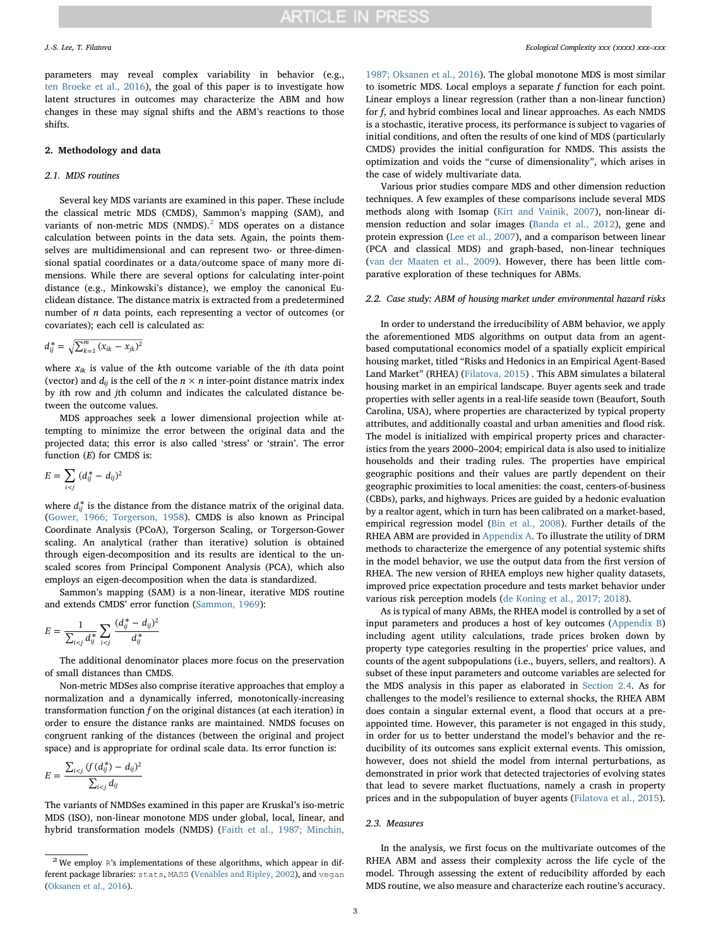parameters may reveal complex variability in behavior (e.g., [ten Broeke et al., 2016\)](#page-12-31), the goal of this paper is to investigate how latent structures in outcomes may characterize the ABM and how changes in these may signal shifts and the ABM's reactions to those shifts.

#### 2. Methodology and data

#### 2.1. MDS routines

Several key MDS variants are examined in this paper. These include the classical metric MDS (CMDS), Sammon's mapping (SAM), and variants of non-metric MDS (NMDS).<sup>[2](#page-2-0)</sup> MDS operates on a distance calculation between points in the data sets. Again, the points themselves are multidimensional and can represent two- or three-dimensional spatial coordinates or a data/outcome space of many more dimensions. While there are several options for calculating inter-point distance (e.g., Minkowski's distance), we employ the canonical Euclidean distance. The distance matrix is extracted from a predetermined number of n data points, each representing a vector of outcomes (or covariates); each cell is calculated as:

$$
d_{ij}^* = \sqrt{\sum_{k=1}^m (x_{ik} - x_{jk})^2}
$$

where  $x_{ik}$  is value of the kth outcome variable of the *i*th data point (vector) and  $d_{ij}$  is the cell of the  $n \times n$  inter-point distance matrix index by ith row and jth column and indicates the calculated distance between the outcome values.

MDS approaches seek a lower dimensional projection while attempting to minimize the error between the original data and the projected data; this error is also called 'stress' or 'strain'. The error function  $(E)$  for CMDS is:

$$
E=\sum_{i
$$

where  $d_{ij}^*$  is the distance from the distance matrix of the original data. ([Gower, 1966; Torgerson, 1958](#page-12-32)). CMDS is also known as Principal Coordinate Analysis (PCoA), Torgerson Scaling, or Torgerson-Gower scaling. An analytical (rather than iterative) solution is obtained through eigen-decomposition and its results are identical to the unscaled scores from Principal Component Analysis (PCA), which also employs an eigen-decomposition when the data is standardized.

Sammon's mapping (SAM) is a non-linear, iterative MDS routine and extends CMDS' error function [\(Sammon, 1969\)](#page-12-33):

$$
E = \frac{1}{\sum_{i < j} d_{ij}^*} \sum_{i < j} \frac{(d_{ij}^* - d_{ij})^2}{d_{ij}^*}
$$

The additional denominator places more focus on the preservation of small distances than CMDS.

Non-metric MDSes also comprise iterative approaches that employ a normalization and a dynamically inferred, monotonically-increasing transformation function f on the original distances (at each iteration) in order to ensure the distance ranks are maintained. NMDS focuses on congruent ranking of the distances (between the original and project space) and is appropriate for ordinal scale data. Its error function is:

$$
E = \frac{\sum_{i < j} (f(d_{ij}^*) - d_{ij})^2}{\sum_{i < j} d_{ij}}
$$

The variants of NMDSes examined in this paper are Kruskal's iso-metric MDS (ISO), non-linear monotone MDS under global, local, linear, and hybrid transformation models (NMDS) ([Faith et al., 1987; Minchin,](#page-12-34)

[1987; Oksanen et al., 2016\)](#page-12-34). The global monotone MDS is most similar to isometric MDS. Local employs a separate f function for each point. Linear employs a linear regression (rather than a non-linear function) for f, and hybrid combines local and linear approaches. As each NMDS is a stochastic, iterative process, its performance is subject to vagaries of initial conditions, and often the results of one kind of MDS (particularly CMDS) provides the initial configuration for NMDS. This assists the optimization and voids the "curse of dimensionality", which arises in the case of widely multivariate data.

Various prior studies compare MDS and other dimension reduction techniques. A few examples of these comparisons include several MDS methods along with Isomap ([Kirt and Vainik, 2007\)](#page-12-35), non-linear dimension reduction and solar images ([Banda et al., 2012](#page-12-36)), gene and protein expression [\(Lee et al., 2007](#page-12-37)), and a comparison between linear (PCA and classical MDS) and graph-based, non-linear techniques ([van der Maaten et al., 2009\)](#page-12-38). However, there has been little comparative exploration of these techniques for ABMs.

## 2.2. Case study: ABM of housing market under environmental hazard risks

In order to understand the irreducibility of ABM behavior, we apply the aforementioned MDS algorithms on output data from an agentbased computational economics model of a spatially explicit empirical housing market, titled "Risks and Hedonics in an Empirical Agent-Based Land Market" (RHEA) [\(Filatova, 2015](#page-12-39)) . This ABM simulates a bilateral housing market in an empirical landscape. Buyer agents seek and trade properties with seller agents in a real-life seaside town (Beaufort, South Carolina, USA), where properties are characterized by typical property attributes, and additionally coastal and urban amenities and flood risk. The model is initialized with empirical property prices and characteristics from the years 2000–2004; empirical data is also used to initialize households and their trading rules. The properties have empirical geographic positions and their values are partly dependent on their geographic proximities to local amenities: the coast, centers-of-business (CBDs), parks, and highways. Prices are guided by a hedonic evaluation by a realtor agent, which in turn has been calibrated on a market-based, empirical regression model ([Bin et al., 2008](#page-12-40)). Further details of the RHEA ABM are provided in [Appendix A.](#page-9-0) To illustrate the utility of DRM methods to characterize the emergence of any potential systemic shifts in the model behavior, we use the output data from the first version of RHEA. The new version of RHEA employs new higher quality datasets, improved price expectation procedure and tests market behavior under various risk perception models ([de Koning et al., 2017; 2018\)](#page-12-41).

As is typical of many ABMs, the RHEA model is controlled by a set of input parameters and produces a host of key outcomes ([Appendix B\)](#page-10-0) including agent utility calculations, trade prices broken down by property type categories resulting in the properties' price values, and counts of the agent subpopulations (i.e., buyers, sellers, and realtors). A subset of these input parameters and outcome variables are selected for the MDS analysis in this paper as elaborated in [Section 2.4](#page-3-0). As for challenges to the model's resilience to external shocks, the RHEA ABM does contain a singular external event, a flood that occurs at a preappointed time. However, this parameter is not engaged in this study, in order for us to better understand the model's behavior and the reducibility of its outcomes sans explicit external events. This omission, however, does not shield the model from internal perturbations, as demonstrated in prior work that detected trajectories of evolving states that lead to severe market fluctuations, namely a crash in property prices and in the subpopulation of buyer agents [\(Filatova et al., 2015](#page-12-8)).

#### <span id="page-2-1"></span>2.3. Measures

In the analysis, we first focus on the multivariate outcomes of the RHEA ABM and assess their complexity across the life cycle of the model. Through assessing the extent of reducibility afforded by each MDS routine, we also measure and characterize each routine's accuracy.

<span id="page-2-0"></span> $2$  We employ R's implementations of these algorithms, which appear in different package libraries: stats, MASS ([Venables and Ripley, 2002](#page-12-42)), and vegan [\(Oksanen et al., 2016\)](#page-12-43).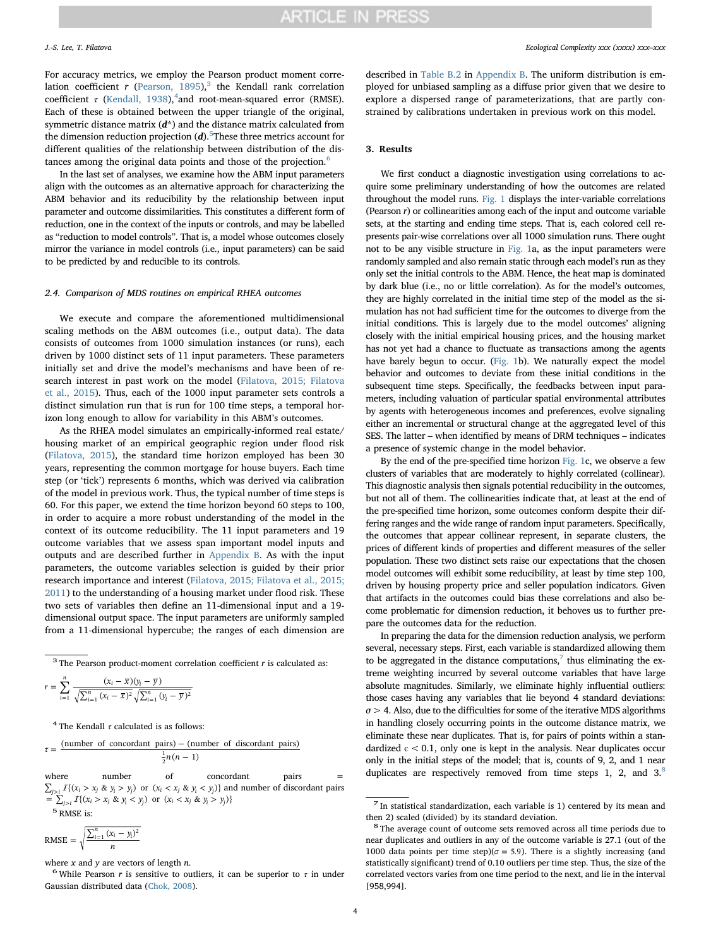For accuracy metrics, we employ the Pearson product moment corre-lation coefficient r [\(Pearson, 1895](#page-12-44)),<sup>[3](#page-3-1)</sup> the Kendall rank correlation coefficient  $\tau$  [\(Kendall, 1938\)](#page-12-45),<sup>[4](#page-3-2)</sup> and root-mean-squared error (RMSE). Each of these is obtained between the upper triangle of the original, symmetric distance matrix  $(d^*)$  and the distance matrix calculated from the dimension reduction projection  $(d)$ . <sup>[5](#page-3-3)</sup>These three metrics account for different qualities of the relationship between distribution of the dis-tances among the original data points and those of the projection.<sup>[6](#page-3-4)</sup>

In the last set of analyses, we examine how the ABM input parameters align with the outcomes as an alternative approach for characterizing the ABM behavior and its reducibility by the relationship between input parameter and outcome dissimilarities. This constitutes a different form of reduction, one in the context of the inputs or controls, and may be labelled as "reduction to model controls". That is, a model whose outcomes closely mirror the variance in model controls (i.e., input parameters) can be said to be predicted by and reducible to its controls.

### <span id="page-3-0"></span>2.4. Comparison of MDS routines on empirical RHEA outcomes

We execute and compare the aforementioned multidimensional scaling methods on the ABM outcomes (i.e., output data). The data consists of outcomes from 1000 simulation instances (or runs), each driven by 1000 distinct sets of 11 input parameters. These parameters initially set and drive the model's mechanisms and have been of research interest in past work on the model ([Filatova, 2015; Filatova](#page-12-39) [et al., 2015\)](#page-12-39). Thus, each of the 1000 input parameter sets controls a distinct simulation run that is run for 100 time steps, a temporal horizon long enough to allow for variability in this ABM's outcomes.

As the RHEA model simulates an empirically-informed real estate/ housing market of an empirical geographic region under flood risk ([Filatova, 2015](#page-12-39)), the standard time horizon employed has been 30 years, representing the common mortgage for house buyers. Each time step (or 'tick') represents 6 months, which was derived via calibration of the model in previous work. Thus, the typical number of time steps is 60. For this paper, we extend the time horizon beyond 60 steps to 100, in order to acquire a more robust understanding of the model in the context of its outcome reducibility. The 11 input parameters and 19 outcome variables that we assess span important model inputs and outputs and are described further in [Appendix B](#page-10-0). As with the input parameters, the outcome variables selection is guided by their prior research importance and interest [\(Filatova, 2015; Filatova et al., 2015;](#page-12-39) [2011\)](#page-12-39) to the understanding of a housing market under flood risk. These two sets of variables then define an 11-dimensional input and a 19 dimensional output space. The input parameters are uniformly sampled from a 11-dimensional hypercube; the ranges of each dimension are

$$
r = \sum_{i=1}^{n} \frac{(x_i - \bar{x})(y_i - \bar{y})}{\sqrt{\sum_{i=1}^{n} (x_i - \bar{x})^2} \sqrt{\sum_{i=1}^{n} (y_i - \bar{y})^2}}
$$

<span id="page-3-2"></span><sup>4</sup> The Kendall  $\tau$  calculated is as follows:

$$
\tau = \frac{\text{(number of concordant pairs)} - \text{(number of discordant pairs)}}{\frac{1}{2}n(n-1)}
$$

where number of concordant pairs  $\sum_{j>i} I\{(x_i > x_j \& y_i > y_j) \text{ or } (x_i < x_j \& y_i < y_j)\}$  and number of discordant pairs  $=\sum_{j>i} I\{(x_i > x_j \& y_i < y_j) \text{ or } (x_i < x_j \& y_i > y_j)\}$ 

<span id="page-3-3"></span>
$$
^5
$$
 RMSE is:

RMSE = 
$$
\sqrt{\frac{\sum_{i=1}^{n} (x_i - y_i)^2}{n}}
$$

<span id="page-3-4"></span>

where x and y are vectors of length *n*.<br><sup>6</sup> While Pearson *r* is sensitive to outliers, it can be superior to  $\tau$  in under Gaussian distributed data [\(Chok, 2008](#page-12-46)).

described in [Table B.2](#page-10-1) in [Appendix B](#page-10-0). The uniform distribution is employed for unbiased sampling as a diffuse prior given that we desire to explore a dispersed range of parameterizations, that are partly constrained by calibrations undertaken in previous work on this model.

# 3. Results

We first conduct a diagnostic investigation using correlations to acquire some preliminary understanding of how the outcomes are related throughout the model runs. [Fig. 1](#page-4-0) displays the inter-variable correlations (Pearson  $r$ ) or collinearities among each of the input and outcome variable sets, at the starting and ending time steps. That is, each colored cell represents pair-wise correlations over all 1000 simulation runs. There ought not to be any visible structure in [Fig. 1a](#page-4-0), as the input parameters were randomly sampled and also remain static through each model's run as they only set the initial controls to the ABM. Hence, the heat map is dominated by dark blue (i.e., no or little correlation). As for the model's outcomes, they are highly correlated in the initial time step of the model as the simulation has not had sufficient time for the outcomes to diverge from the initial conditions. This is largely due to the model outcomes' aligning closely with the initial empirical housing prices, and the housing market has not yet had a chance to fluctuate as transactions among the agents have barely begun to occur. ([Fig. 1](#page-4-0)b). We naturally expect the model behavior and outcomes to deviate from these initial conditions in the subsequent time steps. Specifically, the feedbacks between input parameters, including valuation of particular spatial environmental attributes by agents with heterogeneous incomes and preferences, evolve signaling either an incremental or structural change at the aggregated level of this SES. The latter – when identified by means of DRM techniques – indicates a presence of systemic change in the model behavior.

By the end of the pre-specified time horizon [Fig. 1c](#page-4-0), we observe a few clusters of variables that are moderately to highly correlated (collinear). This diagnostic analysis then signals potential reducibility in the outcomes, but not all of them. The collinearities indicate that, at least at the end of the pre-specified time horizon, some outcomes conform despite their differing ranges and the wide range of random input parameters. Specifically, the outcomes that appear collinear represent, in separate clusters, the prices of different kinds of properties and different measures of the seller population. These two distinct sets raise our expectations that the chosen model outcomes will exhibit some reducibility, at least by time step 100, driven by housing property price and seller population indicators. Given that artifacts in the outcomes could bias these correlations and also become problematic for dimension reduction, it behoves us to further prepare the outcomes data for the reduction.

In preparing the data for the dimension reduction analysis, we perform several, necessary steps. First, each variable is standardized allowing them to be aggregated in the distance computations, $\frac{7}{1}$  thus eliminating the extreme weighting incurred by several outcome variables that have large absolute magnitudes. Similarly, we eliminate highly influential outliers: those cases having any variables that lie beyond 4 standard deviations:  $\sigma$  > 4. Also, due to the difficulties for some of the iterative MDS algorithms in handling closely occurring points in the outcome distance matrix, we eliminate these near duplicates. That is, for pairs of points within a standardized  $\epsilon$  < 0.1, only one is kept in the analysis. Near duplicates occur only in the initial steps of the model; that is, counts of 9, 2, and 1 near duplicates are respectively removed from time steps 1, 2, and 3.<sup>8</sup>

<span id="page-3-1"></span> $3$  The Pearson product-moment correlation coefficient  $r$  is calculated as:

<span id="page-3-5"></span> $<sup>7</sup>$  In statistical standardization, each variable is 1) centered by its mean and</sup> then 2) scaled (divided) by its standard deviation.<br><sup>8</sup> The average count of outcome sets removed across all time periods due to

<span id="page-3-6"></span>near duplicates and outliers in any of the outcome variable is 27.1 (out of the 1000 data points per time step)( $\sigma$  = 5.9). There is a slightly increasing (and statistically significant) trend of 0.10 outliers per time step. Thus, the size of the correlated vectors varies from one time period to the next, and lie in the interval [958,994].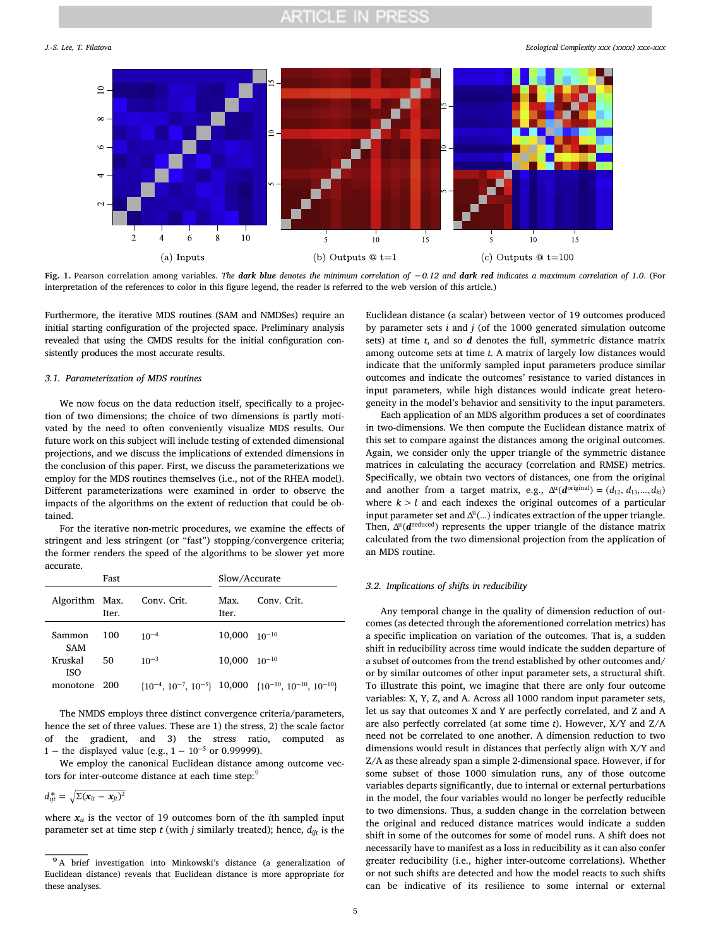# ARTICLE IN PRES

<span id="page-4-0"></span>

Fig. 1. Pearson correlation among variables. The dark blue denotes the minimum correlation of −0.12 and dark red indicates a maximum correlation of 1.0. (For interpretation of the references to color in this figure legend, the reader is referred to the web version of this article.)

Furthermore, the iterative MDS routines (SAM and NMDSes) require an initial starting configuration of the projected space. Preliminary analysis revealed that using the CMDS results for the initial configuration consistently produces the most accurate results.

# 3.1. Parameterization of MDS routines

We now focus on the data reduction itself, specifically to a projection of two dimensions; the choice of two dimensions is partly motivated by the need to often conveniently visualize MDS results. Our future work on this subject will include testing of extended dimensional projections, and we discuss the implications of extended dimensions in the conclusion of this paper. First, we discuss the parameterizations we employ for the MDS routines themselves (i.e., not of the RHEA model). Different parameterizations were examined in order to observe the impacts of the algorithms on the extent of reduction that could be obtained.

For the iterative non-metric procedures, we examine the effects of stringent and less stringent (or "fast") stopping/convergence criteria; the former renders the speed of the algorithms to be slower yet more accurate.

| Fast                  |       |             | Slow/Accurate           |                                                                           |  |
|-----------------------|-------|-------------|-------------------------|---------------------------------------------------------------------------|--|
| Algorithm Max.        | Iter. | Conv. Crit. | Max.<br>Iter.           | Conv. Crit.                                                               |  |
| Sammon<br>SAM         | 100   | $10^{-4}$   | $10,000 \quad 10^{-10}$ |                                                                           |  |
| Kruskal<br><b>ISO</b> | 50    | $10^{-3}$   | $10,000 \quad 10^{-10}$ |                                                                           |  |
| monotone              | 200   |             |                         | $\{10^{-4}, 10^{-7}, 10^{-5}\}$ 10,000 $\{10^{-10}, 10^{-10}, 10^{-10}\}$ |  |

The NMDS employs three distinct convergence criteria/parameters, hence the set of three values. These are 1) the stress, 2) the scale factor of the gradient, and 3) the stress ratio, computed 1 – the displayed value (e.g.,  $1 - 10^{-5}$  or 0.99999).

We employ the canonical Euclidean distance among outcome vec-tors for inter-outcome distance at each time step:<sup>[9](#page-4-1)</sup>

 $d_{ijt}^* = \sqrt{\Sigma (x_{it} - x_{jt})^2}$ 

where  $x_{it}$  is the vector of 19 outcomes born of the *i*th sampled input parameter set at time step t (with j similarly treated); hence,  $d_{ijt}$  is the

Euclidean distance (a scalar) between vector of 19 outcomes produced by parameter sets  $i$  and  $j$  (of the 1000 generated simulation outcome sets) at time  $t$ , and so  $d$  denotes the full, symmetric distance matrix among outcome sets at time t. A matrix of largely low distances would indicate that the uniformly sampled input parameters produce similar outcomes and indicate the outcomes' resistance to varied distances in input parameters, while high distances would indicate great heterogeneity in the model's behavior and sensitivity to the input parameters.

Each application of an MDS algorithm produces a set of coordinates in two-dimensions. We then compute the Euclidean distance matrix of this set to compare against the distances among the original outcomes. Again, we consider only the upper triangle of the symmetric distance matrices in calculating the accuracy (correlation and RMSE) metrics. Specifically, we obtain two vectors of distances, one from the original and another from a target matrix, e.g.,  $\Delta^{\text{u}}(\textbf{d}^{\text{original}}) = (d_{12}, d_{13}, ..., d_{kl})$ where  $k > l$  and each indexes the original outcomes of a particular input parameter set and  $\Delta^{u}$  (...) indicates extraction of the upper triangle. Then,  $\Delta^{u}(\boldsymbol{d}^{\text{reduced}})$  represents the upper triangle of the distance matrix calculated from the two dimensional projection from the application of an MDS routine.

## 3.2. Implications of shifts in reducibility

Any temporal change in the quality of dimension reduction of outcomes (as detected through the aforementioned correlation metrics) has a specific implication on variation of the outcomes. That is, a sudden shift in reducibility across time would indicate the sudden departure of a subset of outcomes from the trend established by other outcomes and/ or by similar outcomes of other input parameter sets, a structural shift. To illustrate this point, we imagine that there are only four outcome variables: X, Y, Z, and A. Across all 1000 random input parameter sets, let us say that outcomes X and Y are perfectly correlated, and Z and A are also perfectly correlated (at some time t). However, X/Y and Z/A need not be correlated to one another. A dimension reduction to two dimensions would result in distances that perfectly align with X/Y and Z/A as these already span a simple 2-dimensional space. However, if for some subset of those 1000 simulation runs, any of those outcome variables departs significantly, due to internal or external perturbations in the model, the four variables would no longer be perfectly reducible to two dimensions. Thus, a sudden change in the correlation between the original and reduced distance matrices would indicate a sudden shift in some of the outcomes for some of model runs. A shift does not necessarily have to manifest as a loss in reducibility as it can also confer greater reducibility (i.e., higher inter-outcome correlations). Whether or not such shifts are detected and how the model reacts to such shifts can be indicative of its resilience to some internal or external

<span id="page-4-1"></span><sup>9</sup>A brief investigation into Minkowski's distance (a generalization of Euclidean distance) reveals that Euclidean distance is more appropriate for these analyses.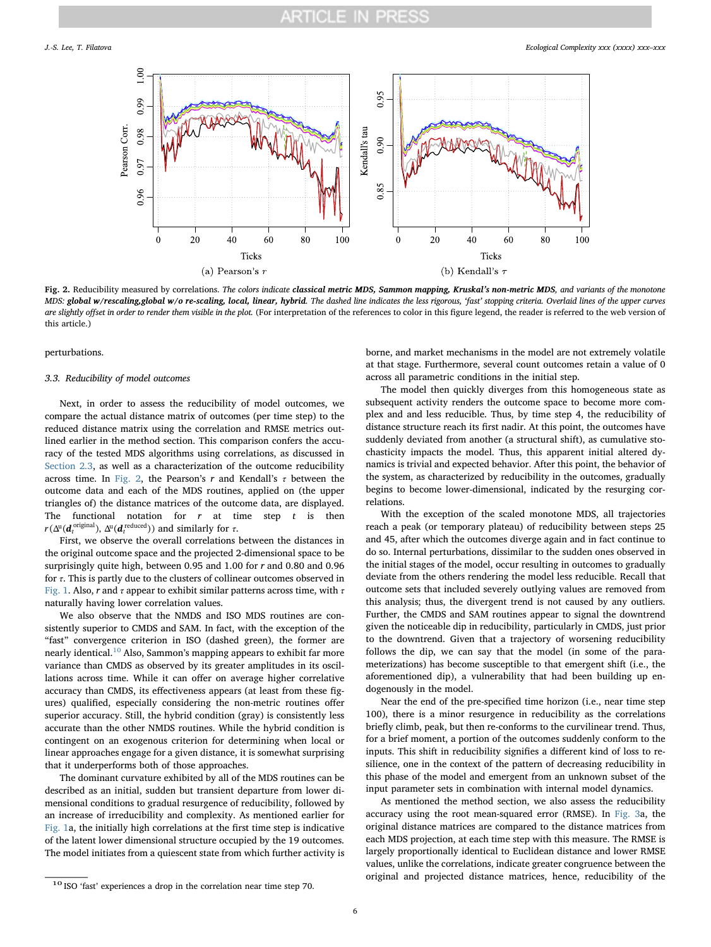<span id="page-5-0"></span>

Fig. 2. Reducibility measured by correlations. The colors indicate classical metric MDS, Sammon mapping, Kruskal's non-metric MDS, and variants of the monotone MDS: global w/rescaling, global w/o re-scaling, local, linear, hybrid. The dashed line indicates the less rigorous, 'fast' stopping criteria. Overlaid lines of the upper curves are slightly offset in order to render them visible in the plot. (For interpretation of the references to color in this figure legend, the reader is referred to the web version of this article.)

#### perturbations.

# 3.3. Reducibility of model outcomes

Next, in order to assess the reducibility of model outcomes, we compare the actual distance matrix of outcomes (per time step) to the reduced distance matrix using the correlation and RMSE metrics outlined earlier in the method section. This comparison confers the accuracy of the tested MDS algorithms using correlations, as discussed in [Section 2.3,](#page-2-1) as well as a characterization of the outcome reducibility across time. In [Fig. 2](#page-5-0), the Pearson's r and Kendall's  $\tau$  between the outcome data and each of the MDS routines, applied on (the upper triangles of) the distance matrices of the outcome data, are displayed. The functional notation for  $r$  at time step  $t$  is then *r*( $\Delta^{\text{u}}(\boldsymbol{d}_t^{\text{original}})$ ,  $\Delta^{\text{u}}(\boldsymbol{d}_t^{\text{reduced}})$ ) and similarly for  $\tau$ .

First, we observe the overall correlations between the distances in the original outcome space and the projected 2-dimensional space to be surprisingly quite high, between 0.95 and 1.00 for r and 0.80 and 0.96 for  $\tau$ . This is partly due to the clusters of collinear outcomes observed in [Fig. 1](#page-4-0). Also, r and  $\tau$  appear to exhibit similar patterns across time, with  $\tau$ naturally having lower correlation values.

We also observe that the NMDS and ISO MDS routines are consistently superior to CMDS and SAM. In fact, with the exception of the "fast" convergence criterion in ISO (dashed green), the former are nearly identical.<sup>[10](#page-5-1)</sup> Also, Sammon's mapping appears to exhibit far more variance than CMDS as observed by its greater amplitudes in its oscillations across time. While it can offer on average higher correlative accuracy than CMDS, its effectiveness appears (at least from these figures) qualified, especially considering the non-metric routines offer superior accuracy. Still, the hybrid condition (gray) is consistently less accurate than the other NMDS routines. While the hybrid condition is contingent on an exogenous criterion for determining when local or linear approaches engage for a given distance, it is somewhat surprising that it underperforms both of those approaches.

The dominant curvature exhibited by all of the MDS routines can be described as an initial, sudden but transient departure from lower dimensional conditions to gradual resurgence of reducibility, followed by an increase of irreducibility and complexity. As mentioned earlier for [Fig. 1a](#page-4-0), the initially high correlations at the first time step is indicative of the latent lower dimensional structure occupied by the 19 outcomes. The model initiates from a quiescent state from which further activity is

borne, and market mechanisms in the model are not extremely volatile at that stage. Furthermore, several count outcomes retain a value of 0 across all parametric conditions in the initial step.

The model then quickly diverges from this homogeneous state as subsequent activity renders the outcome space to become more complex and and less reducible. Thus, by time step 4, the reducibility of distance structure reach its first nadir. At this point, the outcomes have suddenly deviated from another (a structural shift), as cumulative stochasticity impacts the model. Thus, this apparent initial altered dynamics is trivial and expected behavior. After this point, the behavior of the system, as characterized by reducibility in the outcomes, gradually begins to become lower-dimensional, indicated by the resurging correlations.

With the exception of the scaled monotone MDS, all trajectories reach a peak (or temporary plateau) of reducibility between steps 25 and 45, after which the outcomes diverge again and in fact continue to do so. Internal perturbations, dissimilar to the sudden ones observed in the initial stages of the model, occur resulting in outcomes to gradually deviate from the others rendering the model less reducible. Recall that outcome sets that included severely outlying values are removed from this analysis; thus, the divergent trend is not caused by any outliers. Further, the CMDS and SAM routines appear to signal the downtrend given the noticeable dip in reducibility, particularly in CMDS, just prior to the downtrend. Given that a trajectory of worsening reducibility follows the dip, we can say that the model (in some of the parameterizations) has become susceptible to that emergent shift (i.e., the aforementioned dip), a vulnerability that had been building up endogenously in the model.

Near the end of the pre-specified time horizon (i.e., near time step 100), there is a minor resurgence in reducibility as the correlations briefly climb, peak, but then re-conforms to the curvilinear trend. Thus, for a brief moment, a portion of the outcomes suddenly conform to the inputs. This shift in reducibility signifies a different kind of loss to resilience, one in the context of the pattern of decreasing reducibility in this phase of the model and emergent from an unknown subset of the input parameter sets in combination with internal model dynamics.

As mentioned the method section, we also assess the reducibility accuracy using the root mean-squared error (RMSE). In [Fig. 3](#page-6-0)a, the original distance matrices are compared to the distance matrices from each MDS projection, at each time step with this measure. The RMSE is largely proportionally identical to Euclidean distance and lower RMSE values, unlike the correlations, indicate greater congruence between the original and projected distance matrices, hence, reducibility of the

<span id="page-5-1"></span><sup>10</sup> ISO 'fast' experiences a drop in the correlation near time step 70.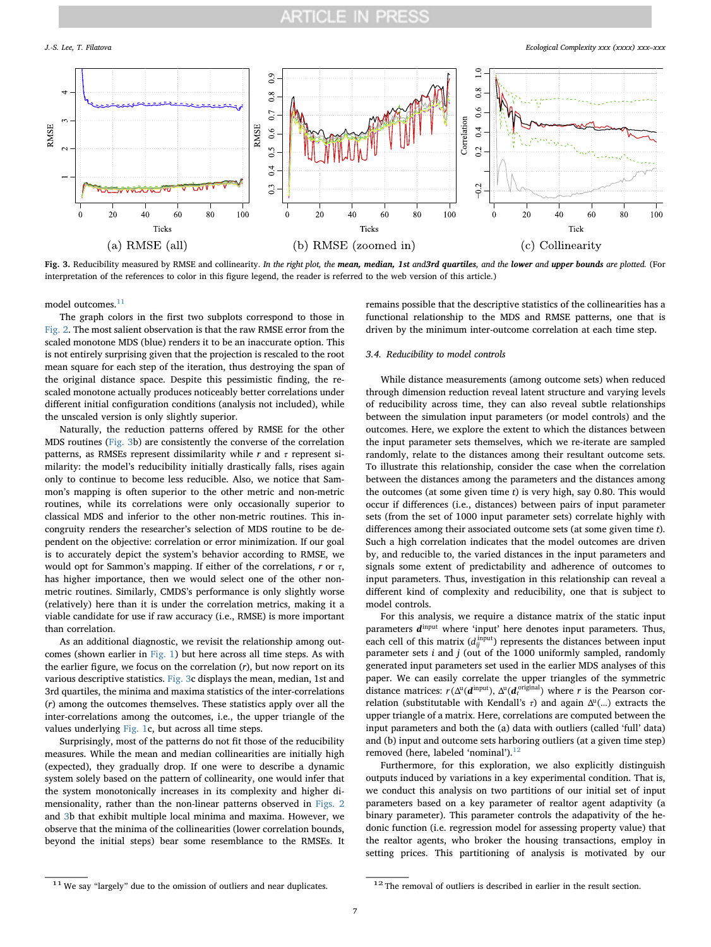J.-S. Lee, T. Filatova *Ecological Complexity xxx (xxxx) xxx–xxx*

<span id="page-6-0"></span>

Fig. 3. Reducibility measured by RMSE and collinearity. In the right plot, the mean, median, 1st and3rd quartiles, and the lower and upper bounds are plotted. (For interpretation of the references to color in this figure legend, the reader is referred to the web version of this article.)

model outcomes.<sup>[11](#page-6-1)</sup>

The graph colors in the first two subplots correspond to those in [Fig. 2](#page-5-0). The most salient observation is that the raw RMSE error from the scaled monotone MDS (blue) renders it to be an inaccurate option. This is not entirely surprising given that the projection is rescaled to the root mean square for each step of the iteration, thus destroying the span of the original distance space. Despite this pessimistic finding, the rescaled monotone actually produces noticeably better correlations under different initial configuration conditions (analysis not included), while the unscaled version is only slightly superior.

Naturally, the reduction patterns offered by RMSE for the other MDS routines [\(Fig. 3](#page-6-0)b) are consistently the converse of the correlation patterns, as RMSEs represent dissimilarity while  $r$  and  $\tau$  represent similarity: the model's reducibility initially drastically falls, rises again only to continue to become less reducible. Also, we notice that Sammon's mapping is often superior to the other metric and non-metric routines, while its correlations were only occasionally superior to classical MDS and inferior to the other non-metric routines. This incongruity renders the researcher's selection of MDS routine to be dependent on the objective: correlation or error minimization. If our goal is to accurately depict the system's behavior according to RMSE, we would opt for Sammon's mapping. If either of the correlations,  $r$  or  $\tau$ , has higher importance, then we would select one of the other nonmetric routines. Similarly, CMDS's performance is only slightly worse (relatively) here than it is under the correlation metrics, making it a viable candidate for use if raw accuracy (i.e., RMSE) is more important than correlation.

As an additional diagnostic, we revisit the relationship among outcomes (shown earlier in [Fig. 1](#page-4-0)) but here across all time steps. As with the earlier figure, we focus on the correlation  $(r)$ , but now report on its various descriptive statistics. [Fig. 3](#page-6-0)c displays the mean, median, 1st and 3rd quartiles, the minima and maxima statistics of the inter-correlations (r) among the outcomes themselves. These statistics apply over all the inter-correlations among the outcomes, i.e., the upper triangle of the values underlying [Fig. 1c](#page-4-0), but across all time steps.

Surprisingly, most of the patterns do not fit those of the reducibility measures. While the mean and median collinearities are initially high (expected), they gradually drop. If one were to describe a dynamic system solely based on the pattern of collinearity, one would infer that the system monotonically increases in its complexity and higher dimensionality, rather than the non-linear patterns observed in [Figs. 2](#page-5-0) and [3](#page-6-0)b that exhibit multiple local minima and maxima. However, we observe that the minima of the collinearities (lower correlation bounds, beyond the initial steps) bear some resemblance to the RMSEs. It remains possible that the descriptive statistics of the collinearities has a functional relationship to the MDS and RMSE patterns, one that is driven by the minimum inter-outcome correlation at each time step.

# 3.4. Reducibility to model controls

While distance measurements (among outcome sets) when reduced through dimension reduction reveal latent structure and varying levels of reducibility across time, they can also reveal subtle relationships between the simulation input parameters (or model controls) and the outcomes. Here, we explore the extent to which the distances between the input parameter sets themselves, which we re-iterate are sampled randomly, relate to the distances among their resultant outcome sets. To illustrate this relationship, consider the case when the correlation between the distances among the parameters and the distances among the outcomes (at some given time  $t$ ) is very high, say 0.80. This would occur if differences (i.e., distances) between pairs of input parameter sets (from the set of 1000 input parameter sets) correlate highly with differences among their associated outcome sets (at some given time t). Such a high correlation indicates that the model outcomes are driven by, and reducible to, the varied distances in the input parameters and signals some extent of predictability and adherence of outcomes to input parameters. Thus, investigation in this relationship can reveal a different kind of complexity and reducibility, one that is subject to model controls.

For this analysis, we require a distance matrix of the static input parameters  $d<sup>input</sup>$  where 'input' here denotes input parameters. Thus, each cell of this matrix  $(d_{ij}^{\text{input}})$  represents the distances between input parameter sets  $i$  and  $j$  (out of the 1000 uniformly sampled, randomly generated input parameters set used in the earlier MDS analyses of this paper. We can easily correlate the upper triangles of the symmetric distance matrices:  $r(\Delta^u(\boldsymbol{d}^{\text{input}}), \Delta^u(\boldsymbol{d}^{\text{original}}))$  where r is the Pearson correlation (substitutable with Kendall's  $\tau$ ) and again  $\Delta^{u}$ (...) extracts the upper triangle of a matrix. Here, correlations are computed between the input parameters and both the (a) data with outliers (called 'full' data) and (b) input and outcome sets harboring outliers (at a given time step) removed (here, labeled 'nominal'). $^{12}$  $^{12}$  $^{12}$ 

Furthermore, for this exploration, we also explicitly distinguish outputs induced by variations in a key experimental condition. That is, we conduct this analysis on two partitions of our initial set of input parameters based on a key parameter of realtor agent adaptivity (a binary parameter). This parameter controls the adapativity of the hedonic function (i.e. regression model for assessing property value) that the realtor agents, who broker the housing transactions, employ in setting prices. This partitioning of analysis is motivated by our

<span id="page-6-1"></span> $11$  We say "largely" due to the omission of outliers and near duplicates.  $12$  The removal of outliers is described in earlier in the result section.

<span id="page-6-2"></span>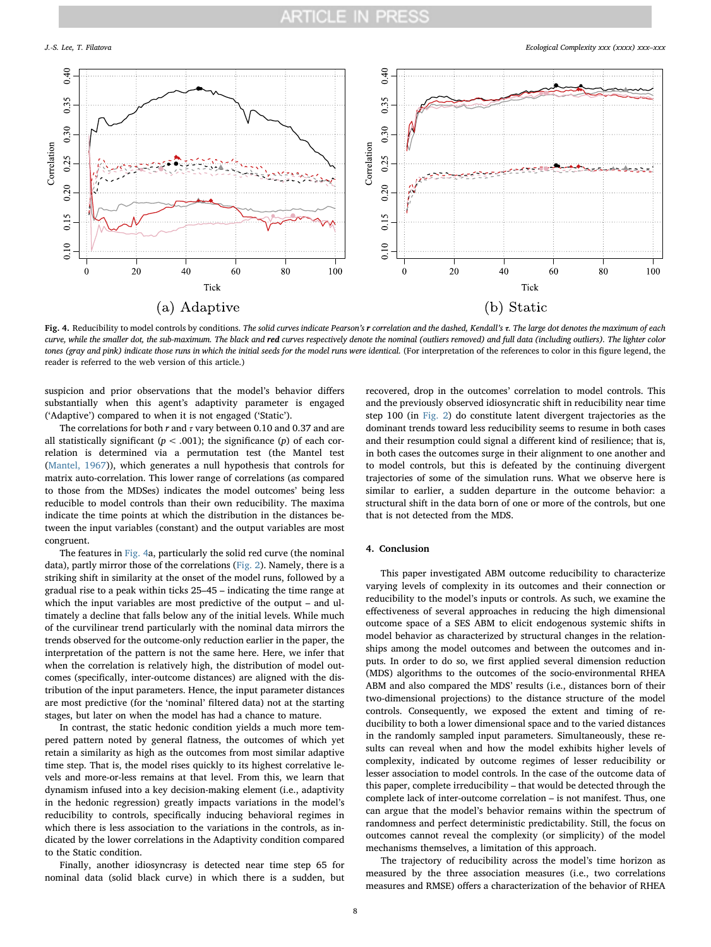<span id="page-7-0"></span>

Fig. 4. Reducibility to model controls by conditions. The solid curves indicate Pearson's r correlation and the dashed, Kendall's τ. The large dot denotes the maximum of each curve, while the smaller dot, the sub-maximum. The black and red curves respectively denote the nominal (outliers removed) and full data (including outliers). The lighter color tones (gray and pink) indicate those runs in which the initial seeds for the model runs were identical. (For interpretation of the references to color in this figure legend, the reader is referred to the web version of this article.)

suspicion and prior observations that the model's behavior differs substantially when this agent's adaptivity parameter is engaged ('Adaptive') compared to when it is not engaged ('Static').

The correlations for both r and  $\tau$  vary between 0.10 and 0.37 and are all statistically significant ( $p < .001$ ); the significance ( $p$ ) of each correlation is determined via a permutation test (the Mantel test ([Mantel, 1967\)](#page-12-47)), which generates a null hypothesis that controls for matrix auto-correlation. This lower range of correlations (as compared to those from the MDSes) indicates the model outcomes' being less reducible to model controls than their own reducibility. The maxima indicate the time points at which the distribution in the distances between the input variables (constant) and the output variables are most congruent.

The features in [Fig. 4](#page-7-0)a, particularly the solid red curve (the nominal data), partly mirror those of the correlations [\(Fig. 2\)](#page-5-0). Namely, there is a striking shift in similarity at the onset of the model runs, followed by a gradual rise to a peak within ticks 25–45 – indicating the time range at which the input variables are most predictive of the output – and ultimately a decline that falls below any of the initial levels. While much of the curvilinear trend particularly with the nominal data mirrors the trends observed for the outcome-only reduction earlier in the paper, the interpretation of the pattern is not the same here. Here, we infer that when the correlation is relatively high, the distribution of model outcomes (specifically, inter-outcome distances) are aligned with the distribution of the input parameters. Hence, the input parameter distances are most predictive (for the 'nominal' filtered data) not at the starting stages, but later on when the model has had a chance to mature.

In contrast, the static hedonic condition yields a much more tempered pattern noted by general flatness, the outcomes of which yet retain a similarity as high as the outcomes from most similar adaptive time step. That is, the model rises quickly to its highest correlative levels and more-or-less remains at that level. From this, we learn that dynamism infused into a key decision-making element (i.e., adaptivity in the hedonic regression) greatly impacts variations in the model's reducibility to controls, specifically inducing behavioral regimes in which there is less association to the variations in the controls, as indicated by the lower correlations in the Adaptivity condition compared to the Static condition.

Finally, another idiosyncrasy is detected near time step 65 for nominal data (solid black curve) in which there is a sudden, but recovered, drop in the outcomes' correlation to model controls. This and the previously observed idiosyncratic shift in reducibility near time step 100 (in [Fig. 2\)](#page-5-0) do constitute latent divergent trajectories as the dominant trends toward less reducibility seems to resume in both cases and their resumption could signal a different kind of resilience; that is, in both cases the outcomes surge in their alignment to one another and to model controls, but this is defeated by the continuing divergent trajectories of some of the simulation runs. What we observe here is similar to earlier, a sudden departure in the outcome behavior: a structural shift in the data born of one or more of the controls, but one that is not detected from the MDS.

# 4. Conclusion

This paper investigated ABM outcome reducibility to characterize varying levels of complexity in its outcomes and their connection or reducibility to the model's inputs or controls. As such, we examine the effectiveness of several approaches in reducing the high dimensional outcome space of a SES ABM to elicit endogenous systemic shifts in model behavior as characterized by structural changes in the relationships among the model outcomes and between the outcomes and inputs. In order to do so, we first applied several dimension reduction (MDS) algorithms to the outcomes of the socio-environmental RHEA ABM and also compared the MDS' results (i.e., distances born of their two-dimensional projections) to the distance structure of the model controls. Consequently, we exposed the extent and timing of reducibility to both a lower dimensional space and to the varied distances in the randomly sampled input parameters. Simultaneously, these results can reveal when and how the model exhibits higher levels of complexity, indicated by outcome regimes of lesser reducibility or lesser association to model controls. In the case of the outcome data of this paper, complete irreducibility – that would be detected through the complete lack of inter-outcome correlation – is not manifest. Thus, one can argue that the model's behavior remains within the spectrum of randomness and perfect deterministic predictability. Still, the focus on outcomes cannot reveal the complexity (or simplicity) of the model mechanisms themselves, a limitation of this approach.

The trajectory of reducibility across the model's time horizon as measured by the three association measures (i.e., two correlations measures and RMSE) offers a characterization of the behavior of RHEA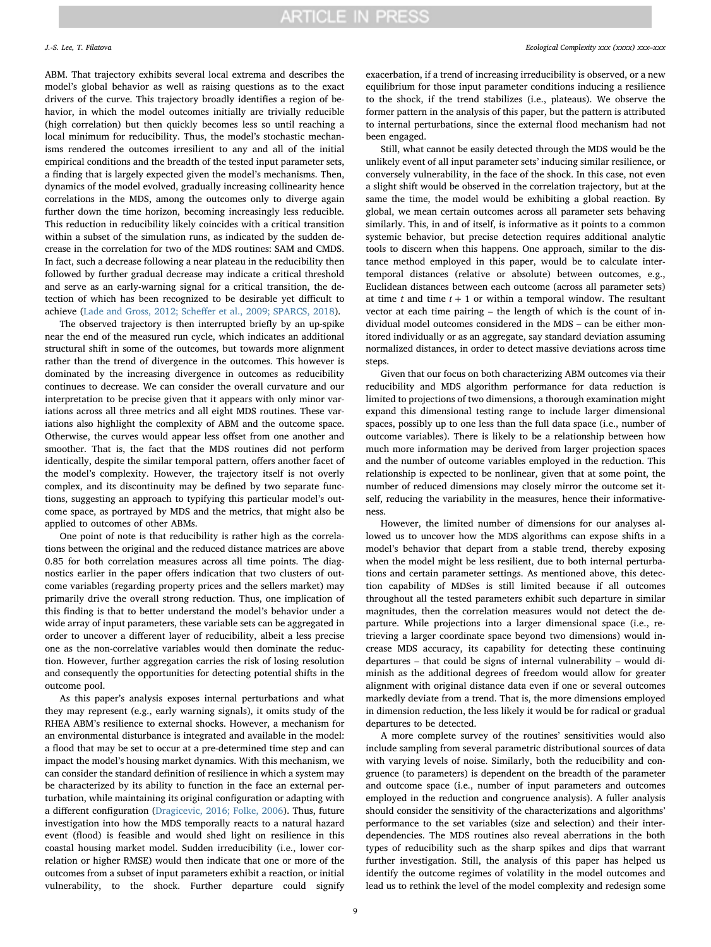ABM. That trajectory exhibits several local extrema and describes the model's global behavior as well as raising questions as to the exact drivers of the curve. This trajectory broadly identifies a region of behavior, in which the model outcomes initially are trivially reducible (high correlation) but then quickly becomes less so until reaching a local minimum for reducibility. Thus, the model's stochastic mechanisms rendered the outcomes irresilient to any and all of the initial empirical conditions and the breadth of the tested input parameter sets, a finding that is largely expected given the model's mechanisms. Then, dynamics of the model evolved, gradually increasing collinearity hence correlations in the MDS, among the outcomes only to diverge again further down the time horizon, becoming increasingly less reducible. This reduction in reducibility likely coincides with a critical transition within a subset of the simulation runs, as indicated by the sudden decrease in the correlation for two of the MDS routines: SAM and CMDS. In fact, such a decrease following a near plateau in the reducibility then followed by further gradual decrease may indicate a critical threshold and serve as an early-warning signal for a critical transition, the detection of which has been recognized to be desirable yet difficult to achieve (Lade and Gross, 2012; Scheff[er et al., 2009; SPARCS, 2018](#page-12-48)).

The observed trajectory is then interrupted briefly by an up-spike near the end of the measured run cycle, which indicates an additional structural shift in some of the outcomes, but towards more alignment rather than the trend of divergence in the outcomes. This however is dominated by the increasing divergence in outcomes as reducibility continues to decrease. We can consider the overall curvature and our interpretation to be precise given that it appears with only minor variations across all three metrics and all eight MDS routines. These variations also highlight the complexity of ABM and the outcome space. Otherwise, the curves would appear less offset from one another and smoother. That is, the fact that the MDS routines did not perform identically, despite the similar temporal pattern, offers another facet of the model's complexity. However, the trajectory itself is not overly complex, and its discontinuity may be defined by two separate functions, suggesting an approach to typifying this particular model's outcome space, as portrayed by MDS and the metrics, that might also be applied to outcomes of other ABMs.

One point of note is that reducibility is rather high as the correlations between the original and the reduced distance matrices are above 0.85 for both correlation measures across all time points. The diagnostics earlier in the paper offers indication that two clusters of outcome variables (regarding property prices and the sellers market) may primarily drive the overall strong reduction. Thus, one implication of this finding is that to better understand the model's behavior under a wide array of input parameters, these variable sets can be aggregated in order to uncover a different layer of reducibility, albeit a less precise one as the non-correlative variables would then dominate the reduction. However, further aggregation carries the risk of losing resolution and consequently the opportunities for detecting potential shifts in the outcome pool.

As this paper's analysis exposes internal perturbations and what they may represent (e.g., early warning signals), it omits study of the RHEA ABM's resilience to external shocks. However, a mechanism for an environmental disturbance is integrated and available in the model: a flood that may be set to occur at a pre-determined time step and can impact the model's housing market dynamics. With this mechanism, we can consider the standard definition of resilience in which a system may be characterized by its ability to function in the face an external perturbation, while maintaining its original configuration or adapting with a different configuration [\(Dragicevic, 2016; Folke, 2006](#page-12-5)). Thus, future investigation into how the MDS temporally reacts to a natural hazard event (flood) is feasible and would shed light on resilience in this coastal housing market model. Sudden irreducibility (i.e., lower correlation or higher RMSE) would then indicate that one or more of the outcomes from a subset of input parameters exhibit a reaction, or initial vulnerability, to the shock. Further departure could signify

exacerbation, if a trend of increasing irreducibility is observed, or a new equilibrium for those input parameter conditions inducing a resilience to the shock, if the trend stabilizes (i.e., plateaus). We observe the former pattern in the analysis of this paper, but the pattern is attributed to internal perturbations, since the external flood mechanism had not been engaged.

Still, what cannot be easily detected through the MDS would be the unlikely event of all input parameter sets' inducing similar resilience, or conversely vulnerability, in the face of the shock. In this case, not even a slight shift would be observed in the correlation trajectory, but at the same the time, the model would be exhibiting a global reaction. By global, we mean certain outcomes across all parameter sets behaving similarly. This, in and of itself, is informative as it points to a common systemic behavior, but precise detection requires additional analytic tools to discern when this happens. One approach, similar to the distance method employed in this paper, would be to calculate intertemporal distances (relative or absolute) between outcomes, e.g., Euclidean distances between each outcome (across all parameter sets) at time  $t$  and time  $t + 1$  or within a temporal window. The resultant vector at each time pairing – the length of which is the count of individual model outcomes considered in the MDS – can be either monitored individually or as an aggregate, say standard deviation assuming normalized distances, in order to detect massive deviations across time steps.

Given that our focus on both characterizing ABM outcomes via their reducibility and MDS algorithm performance for data reduction is limited to projections of two dimensions, a thorough examination might expand this dimensional testing range to include larger dimensional spaces, possibly up to one less than the full data space (i.e., number of outcome variables). There is likely to be a relationship between how much more information may be derived from larger projection spaces and the number of outcome variables employed in the reduction. This relationship is expected to be nonlinear, given that at some point, the number of reduced dimensions may closely mirror the outcome set itself, reducing the variability in the measures, hence their informativeness.

However, the limited number of dimensions for our analyses allowed us to uncover how the MDS algorithms can expose shifts in a model's behavior that depart from a stable trend, thereby exposing when the model might be less resilient, due to both internal perturbations and certain parameter settings. As mentioned above, this detection capability of MDSes is still limited because if all outcomes throughout all the tested parameters exhibit such departure in similar magnitudes, then the correlation measures would not detect the departure. While projections into a larger dimensional space (i.e., retrieving a larger coordinate space beyond two dimensions) would increase MDS accuracy, its capability for detecting these continuing departures – that could be signs of internal vulnerability – would diminish as the additional degrees of freedom would allow for greater alignment with original distance data even if one or several outcomes markedly deviate from a trend. That is, the more dimensions employed in dimension reduction, the less likely it would be for radical or gradual departures to be detected.

A more complete survey of the routines' sensitivities would also include sampling from several parametric distributional sources of data with varying levels of noise. Similarly, both the reducibility and congruence (to parameters) is dependent on the breadth of the parameter and outcome space (i.e., number of input parameters and outcomes employed in the reduction and congruence analysis). A fuller analysis should consider the sensitivity of the characterizations and algorithms' performance to the set variables (size and selection) and their interdependencies. The MDS routines also reveal aberrations in the both types of reducibility such as the sharp spikes and dips that warrant further investigation. Still, the analysis of this paper has helped us identify the outcome regimes of volatility in the model outcomes and lead us to rethink the level of the model complexity and redesign some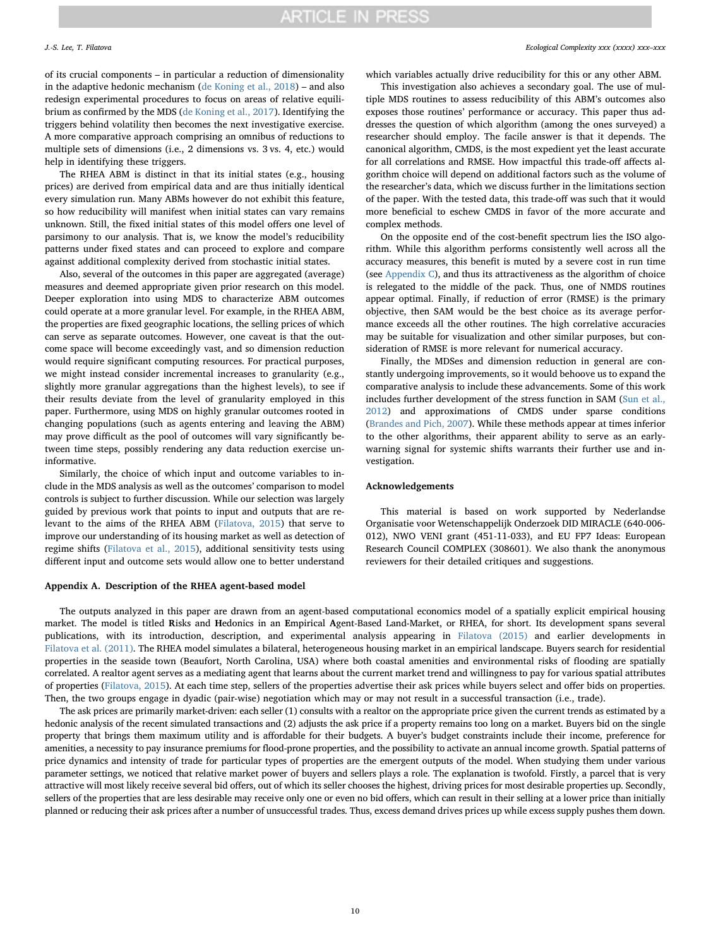of its crucial components – in particular a reduction of dimensionality in the adaptive hedonic mechanism ([de Koning et al., 2018](#page-12-49)) – and also redesign experimental procedures to focus on areas of relative equilibrium as confirmed by the MDS [\(de Koning et al., 2017\)](#page-12-41). Identifying the triggers behind volatility then becomes the next investigative exercise. A more comparative approach comprising an omnibus of reductions to multiple sets of dimensions (i.e., 2 dimensions vs. 3 vs. 4, etc.) would help in identifying these triggers.

The RHEA ABM is distinct in that its initial states (e.g., housing prices) are derived from empirical data and are thus initially identical every simulation run. Many ABMs however do not exhibit this feature, so how reducibility will manifest when initial states can vary remains unknown. Still, the fixed initial states of this model offers one level of parsimony to our analysis. That is, we know the model's reducibility patterns under fixed states and can proceed to explore and compare against additional complexity derived from stochastic initial states.

Also, several of the outcomes in this paper are aggregated (average) measures and deemed appropriate given prior research on this model. Deeper exploration into using MDS to characterize ABM outcomes could operate at a more granular level. For example, in the RHEA ABM, the properties are fixed geographic locations, the selling prices of which can serve as separate outcomes. However, one caveat is that the outcome space will become exceedingly vast, and so dimension reduction would require significant computing resources. For practical purposes, we might instead consider incremental increases to granularity (e.g., slightly more granular aggregations than the highest levels), to see if their results deviate from the level of granularity employed in this paper. Furthermore, using MDS on highly granular outcomes rooted in changing populations (such as agents entering and leaving the ABM) may prove difficult as the pool of outcomes will vary significantly between time steps, possibly rendering any data reduction exercise uninformative.

Similarly, the choice of which input and outcome variables to include in the MDS analysis as well as the outcomes' comparison to model controls is subject to further discussion. While our selection was largely guided by previous work that points to input and outputs that are relevant to the aims of the RHEA ABM ([Filatova, 2015](#page-12-39)) that serve to improve our understanding of its housing market as well as detection of regime shifts [\(Filatova et al., 2015](#page-12-8)), additional sensitivity tests using different input and outcome sets would allow one to better understand

#### <span id="page-9-0"></span>Appendix A. Description of the RHEA agent-based model

which variables actually drive reducibility for this or any other ABM.

This investigation also achieves a secondary goal. The use of multiple MDS routines to assess reducibility of this ABM's outcomes also exposes those routines' performance or accuracy. This paper thus addresses the question of which algorithm (among the ones surveyed) a researcher should employ. The facile answer is that it depends. The canonical algorithm, CMDS, is the most expedient yet the least accurate for all correlations and RMSE. How impactful this trade-off affects algorithm choice will depend on additional factors such as the volume of the researcher's data, which we discuss further in the limitations section of the paper. With the tested data, this trade-off was such that it would more beneficial to eschew CMDS in favor of the more accurate and complex methods.

On the opposite end of the cost-benefit spectrum lies the ISO algorithm. While this algorithm performs consistently well across all the accuracy measures, this benefit is muted by a severe cost in run time (see [Appendix C\)](#page-11-0), and thus its attractiveness as the algorithm of choice is relegated to the middle of the pack. Thus, one of NMDS routines appear optimal. Finally, if reduction of error (RMSE) is the primary objective, then SAM would be the best choice as its average performance exceeds all the other routines. The high correlative accuracies may be suitable for visualization and other similar purposes, but consideration of RMSE is more relevant for numerical accuracy.

Finally, the MDSes and dimension reduction in general are constantly undergoing improvements, so it would behoove us to expand the comparative analysis to include these advancements. Some of this work includes further development of the stress function in SAM ([Sun et al.,](#page-12-50) [2012\)](#page-12-50) and approximations of CMDS under sparse conditions ([Brandes and Pich, 2007\)](#page-12-51). While these methods appear at times inferior to the other algorithms, their apparent ability to serve as an earlywarning signal for systemic shifts warrants their further use and investigation.

## Acknowledgements

This material is based on work supported by Nederlandse Organisatie voor Wetenschappelijk Onderzoek DID MIRACLE (640-006- 012), NWO VENI grant (451-11-033), and EU FP7 Ideas: European Research Council COMPLEX (308601). We also thank the anonymous reviewers for their detailed critiques and suggestions.

The outputs analyzed in this paper are drawn from an agent-based computational economics model of a spatially explicit empirical housing market. The model is titled Risks and Hedonics in an Empirical Agent-Based Land-Market, or RHEA, for short. Its development spans several publications, with its introduction, description, and experimental analysis appearing in [Filatova \(2015\)](#page-12-39) and earlier developments in [Filatova et al. \(2011\).](#page-12-52) The RHEA model simulates a bilateral, heterogeneous housing market in an empirical landscape. Buyers search for residential properties in the seaside town (Beaufort, North Carolina, USA) where both coastal amenities and environmental risks of flooding are spatially correlated. A realtor agent serves as a mediating agent that learns about the current market trend and willingness to pay for various spatial attributes of properties ([Filatova, 2015\)](#page-12-39). At each time step, sellers of the properties advertise their ask prices while buyers select and offer bids on properties. Then, the two groups engage in dyadic (pair-wise) negotiation which may or may not result in a successful transaction (i.e., trade).

The ask prices are primarily market-driven: each seller (1) consults with a realtor on the appropriate price given the current trends as estimated by a hedonic analysis of the recent simulated transactions and (2) adjusts the ask price if a property remains too long on a market. Buyers bid on the single property that brings them maximum utility and is affordable for their budgets. A buyer's budget constraints include their income, preference for amenities, a necessity to pay insurance premiums for flood-prone properties, and the possibility to activate an annual income growth. Spatial patterns of price dynamics and intensity of trade for particular types of properties are the emergent outputs of the model. When studying them under various parameter settings, we noticed that relative market power of buyers and sellers plays a role. The explanation is twofold. Firstly, a parcel that is very attractive will most likely receive several bid offers, out of which its seller chooses the highest, driving prices for most desirable properties up. Secondly, sellers of the properties that are less desirable may receive only one or even no bid offers, which can result in their selling at a lower price than initially planned or reducing their ask prices after a number of unsuccessful trades. Thus, excess demand drives prices up while excess supply pushes them down.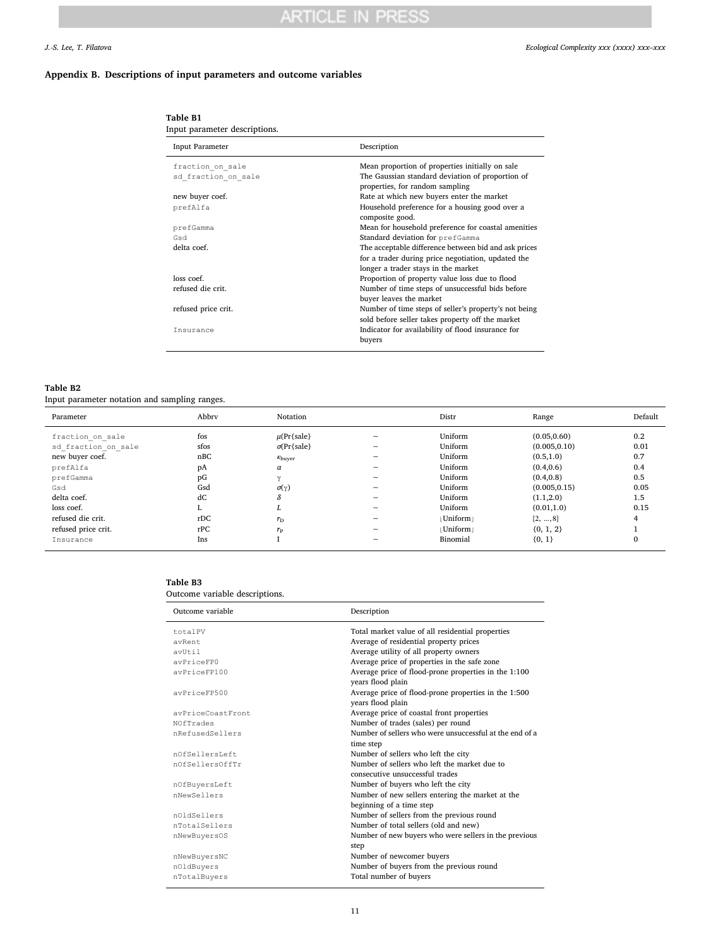# ARTICLE IN PRESS

# <span id="page-10-0"></span>Appendix B. Descriptions of input parameters and outcome variables

Table B1 Input parameter descriptions.

| <b>Input Parameter</b> | Description                                                                                                                                       |  |
|------------------------|---------------------------------------------------------------------------------------------------------------------------------------------------|--|
| fraction on sale       | Mean proportion of properties initially on sale                                                                                                   |  |
| sd fraction on sale    | The Gaussian standard deviation of proportion of<br>properties, for random sampling                                                               |  |
| new buyer coef.        | Rate at which new buyers enter the market                                                                                                         |  |
| prefAlfa               | Household preference for a housing good over a<br>composite good.                                                                                 |  |
| prefGamma              | Mean for household preference for coastal amenities                                                                                               |  |
| Gsd                    | Standard deviation for prefGamma                                                                                                                  |  |
| delta coef.            | The acceptable difference between bid and ask prices<br>for a trader during price negotiation, updated the<br>longer a trader stays in the market |  |
| loss coef.             | Proportion of property value loss due to flood                                                                                                    |  |
| refused die crit.      | Number of time steps of unsuccessful bids before<br>buyer leaves the market                                                                       |  |
| refused price crit.    | Number of time steps of seller's property's not being<br>sold before seller takes property off the market                                         |  |
| Insurance              | Indicator for availability of flood insurance for<br>buyers                                                                                       |  |

### <span id="page-10-1"></span>Table B2

Input parameter notation and sampling ranges.

| Parameter           | Abbry | Notation           |                           | Distr    | Range         | Default  |
|---------------------|-------|--------------------|---------------------------|----------|---------------|----------|
| fraction on sale    | fos   | $\mu$ (Pr{sale}    | $\widetilde{\phantom{m}}$ | Uniform  | (0.05, 0.60)  | 0.2      |
| sd fraction on sale | sfos  | $\sigma$ (Pr{sale} | $\widetilde{\phantom{m}}$ | Uniform  | (0.005, 0.10) | 0.01     |
| new buyer coef.     | nBC   | $k_{\text{buyer}}$ | $\widetilde{\phantom{m}}$ | Uniform  | (0.5, 1.0)    | 0.7      |
| prefAlfa            | pA    | $\alpha$           | $\widetilde{\phantom{m}}$ | Uniform  | (0.4, 0.6)    | 0.4      |
| prefGamma           | pG    | $\sim$             | $\widetilde{\phantom{m}}$ | Uniform  | (0.4, 0.8)    | 0.5      |
| Gsd                 | Gsd   | $\sigma(\gamma)$   | $\widetilde{\phantom{m}}$ | Uniform  | (0.005, 0.15) | 0.05     |
| delta coef.         | dC    | δ                  | $\widetilde{\phantom{m}}$ | Uniform  | (1.1, 2.0)    | 1.5      |
| loss coef.          | ы     | L                  | $\widetilde{\phantom{m}}$ | Uniform  | (0.01, 1.0)   | 0.15     |
| refused die crit.   | rDC   | $r_{\rm D}$        | $\widetilde{\phantom{m}}$ | Uniform  | $\{2, , 8\}$  | 4        |
| refused price crit. | rPC   | $r_{\rm P}$        | $\widetilde{\phantom{m}}$ | Uniform  | $\{0, 1, 2\}$ |          |
| Insurance           | Ins   |                    | $\widetilde{\phantom{m}}$ | Binomial | ${0, 1}$      | $\bf{0}$ |

# Table B3

Outcome variable descriptions.

| Outcome variable  | Description                                                               |
|-------------------|---------------------------------------------------------------------------|
| totalPV           | Total market value of all residential properties                          |
| avRent            | Average of residential property prices                                    |
| avUtil            | Average utility of all property owners                                    |
| avPriceFP0        | Average price of properties in the safe zone                              |
| avPriceFP100      | Average price of flood-prone properties in the 1:100<br>years flood plain |
| avPriceFP500      | Average price of flood-prone properties in the 1:500                      |
|                   | years flood plain                                                         |
| avPriceCoastFront | Average price of coastal front properties                                 |
| NOfTrades         | Number of trades (sales) per round                                        |
| nRefusedSellers   | Number of sellers who were unsuccessful at the end of a                   |
|                   | time step                                                                 |
| nOfSellersLeft    | Number of sellers who left the city                                       |
| nOfSellersOffTr   | Number of sellers who left the market due to                              |
|                   | consecutive unsuccessful trades                                           |
| nOfBuyersLeft     | Number of buyers who left the city                                        |
| nNewSellers       | Number of new sellers entering the market at the                          |
|                   | beginning of a time step                                                  |
| nOldSellers       | Number of sellers from the previous round                                 |
| nTotalSellers     | Number of total sellers (old and new)                                     |
| nNewBuyersOS      | Number of new buyers who were sellers in the previous                     |
|                   | step                                                                      |
| nNewBuyersNC      | Number of newcomer buyers                                                 |
| nOldBuyers        | Number of buyers from the previous round                                  |
| nTotalBuyers      | Total number of buyers                                                    |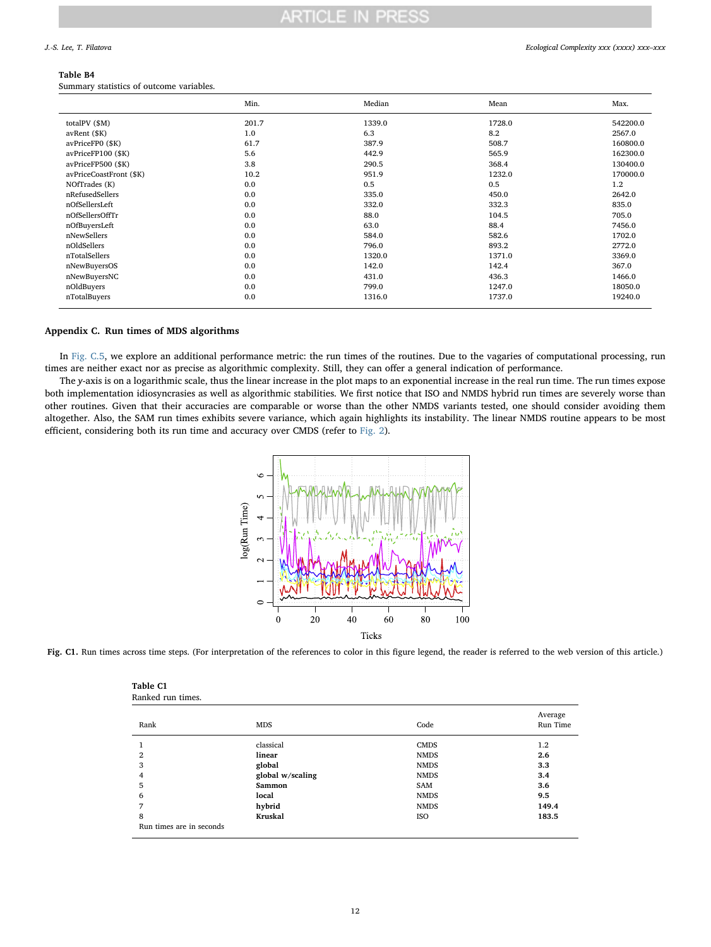#### Table B4

Summary statistics of outcome variables.

|                         | Min.  | Median | Mean   | Max.     |
|-------------------------|-------|--------|--------|----------|
| totalPV (\$M)           | 201.7 | 1339.0 | 1728.0 | 542200.0 |
| avRent (\$K)            | 1.0   | 6.3    | 8.2    | 2567.0   |
| avPriceFP0 (\$K)        | 61.7  | 387.9  | 508.7  | 160800.0 |
| avPriceFP100 (\$K)      | 5.6   | 442.9  | 565.9  | 162300.0 |
| avPriceFP500 (\$K)      | 3.8   | 290.5  | 368.4  | 130400.0 |
| avPriceCoastFront (\$K) | 10.2  | 951.9  | 1232.0 | 170000.0 |
| NOfTrades (K)           | 0.0   | 0.5    | 0.5    | 1.2      |
| nRefusedSellers         | 0.0   | 335.0  | 450.0  | 2642.0   |
| nOfSellersLeft          | 0.0   | 332.0  | 332.3  | 835.0    |
| nOfSellersOffTr         | 0.0   | 88.0   | 104.5  | 705.0    |
| nOfBuyersLeft           | 0.0   | 63.0   | 88.4   | 7456.0   |
| nNewSellers             | 0.0   | 584.0  | 582.6  | 1702.0   |
| nOldSellers             | 0.0   | 796.0  | 893.2  | 2772.0   |
| nTotalSellers           | 0.0   | 1320.0 | 1371.0 | 3369.0   |
| nNewBuyersOS            | 0.0   | 142.0  | 142.4  | 367.0    |
| nNewBuyersNC            | 0.0   | 431.0  | 436.3  | 1466.0   |
| nOldBuyers              | 0.0   | 799.0  | 1247.0 | 18050.0  |
| nTotalBuyers            | 0.0   | 1316.0 | 1737.0 | 19240.0  |
|                         |       |        |        |          |

# <span id="page-11-0"></span>Appendix C. Run times of MDS algorithms

In [Fig. C.5,](#page-11-1) we explore an additional performance metric: the run times of the routines. Due to the vagaries of computational processing, run times are neither exact nor as precise as algorithmic complexity. Still, they can offer a general indication of performance.

<span id="page-11-1"></span>The y-axis is on a logarithmic scale, thus the linear increase in the plot maps to an exponential increase in the real run time. The run times expose both implementation idiosyncrasies as well as algorithmic stabilities. We first notice that ISO and NMDS hybrid run times are severely worse than other routines. Given that their accuracies are comparable or worse than the other NMDS variants tested, one should consider avoiding them altogether. Also, the SAM run times exhibits severe variance, which again highlights its instability. The linear NMDS routine appears to be most efficient, considering both its run time and accuracy over CMDS (refer to [Fig. 2](#page-5-0)).





| Ranked run times. |                  |             |                     |  |
|-------------------|------------------|-------------|---------------------|--|
| Rank              | <b>MDS</b>       | Code        | Average<br>Run Time |  |
|                   | classical        | <b>CMDS</b> | 1.2                 |  |
| $\mathbf{2}$      | linear           | <b>NMDS</b> | 2.6                 |  |
| 3                 | global           | <b>NMDS</b> | 3.3                 |  |
| 4                 | global w/scaling | <b>NMDS</b> | 3.4                 |  |
| 5                 | Sammon           | SAM         | 3.6                 |  |
| 6                 | local            | <b>NMDS</b> | 9.5                 |  |
| 7                 | hybrid           | <b>NMDS</b> | 149.4               |  |
| 8                 | Kruskal          | <b>ISO</b>  | 183.5               |  |